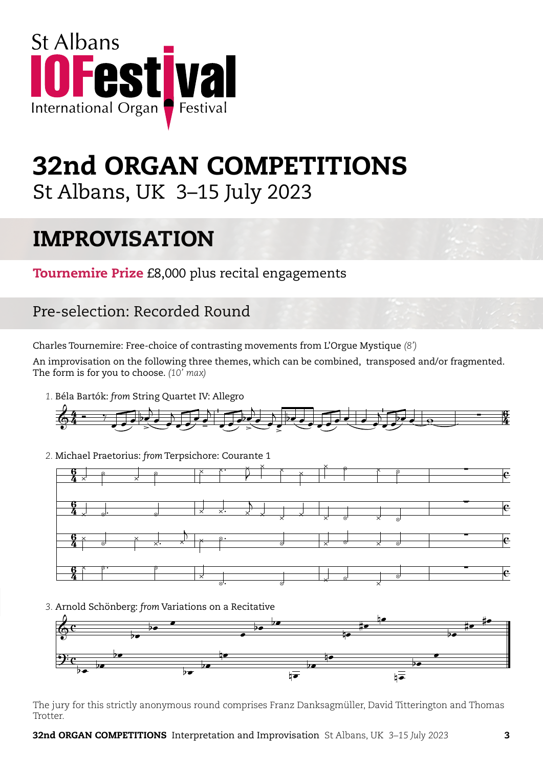

# 32nd ORGAN COMPETITIONS St Albans, UK 3–15 July 2023

## IMPROVISATION

**Tournemire Prize** £8,000 plus recital engagements St. Albans pre-selection themes

#### Pre-selection: Recorded Round  $S_{\text{SUS}}$  $\overline{\phantom{a}}$ ion: Recorded R ã j

Charles Tournemire: Free-choice of contrasting movements from L'Orgue Mystique *(8')*<br>An impressionism on the following three themes, which say he combined, transposed Béla Bartók: filite: Free-choice of contr hoice of contracting movement

An improvisation on the following three themes, which can be combined, transposed and/or fragmented.<br>The form is for you to choose. (10' max) The form is for you to choose. *(10' max)* 4 & sation on the following three<br>S for you to choose.  $(10' \text{ max})$ ã  $\left( \frac{1}{2} \right)$ j which can be combined, transposed and<br>

 *1.* Béla Bartók: *from* String Quartet IV: Allegro Béla Bartók: artok: from String Quartet IV: A



2. Michael Praetorius: *from* Terpsichore: Courante 1



*3.* Arnold Schönberg: *from* Variations on a Recitative from: Variations on a Recitative



The jury for this strictly anonymous round comprises Franz Danksagmüller, David Titterington and Thomas Trotter. & bœ bœ <sup>œ</sup> <sup>œ</sup> bœ bœ nœ #œ nœ bœ #œ #œ ıry for this strictly anonymous round comprises Franz Danksagmüller, David Titteringtc<br>r.

32nd ORGAN COMPETITIONS Interpretation and Improvisation St Albans, UK *3–15 July 2023* 3  $\mathbf{r}$  $\frac{1}{2}$ 

ã ∑